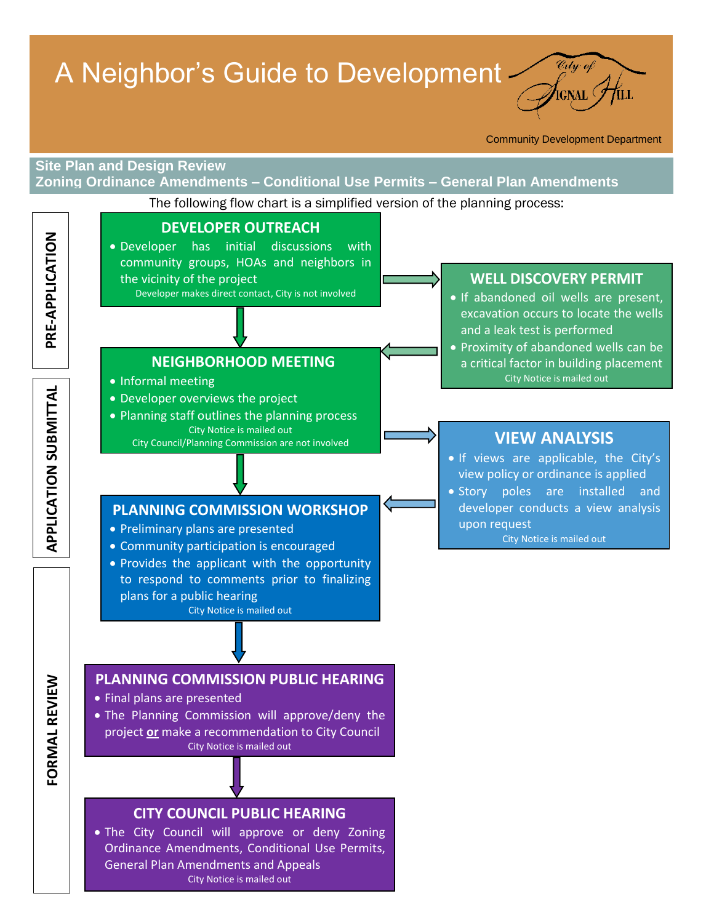# A Neighbor's Guide to Development



Community Development Department

## **Site Plan and Design Review Zoning Ordinance Amendments – Conditional Use Permits – General Plan Amendments** The following flow chart is a simplified version of the planning process: **[DEVELOPER OUTREACH](#page-1-0)** PRE-APPLICATION **PRE-APPLICATION** Developer has initial discussions with community groups, HOAs and neighbors in the vicinity of the project **[WELL DISCOVERY PERMIT](#page-1-0)** Developer makes direct contact, City is not involved • If abandoned oil wells are present, excavation occurs to locate the wells and a leak test is performed **• Proximity of abandoned wells can be [NEIGHBORHOOD](#page-1-0) MEETING** a critical factor in building placement City Notice is mailed out • Informal meeting **FORMAL REVIEW APPLICATION SUBMITTALAPPLICATION SUBMITTAL**  Developer overviews the project • Planning staff outlines the planning process City Notice is mailed out **[VIEW ANALYSIS](#page-2-0)** City Council/Planning Commission are not involved • If views are applicable, the City's view policy or ordinance is applied • Story poles are installed and developer conducts a view analysis **[PLANNING COMMISSION WORKSHOP](#page-2-0)** upon request • Preliminary plans are presented City Notice is mailed out Community participation is encouraged • Provides the applicant with the opportunity to respond to comments prior to finalizing plans for a public hearing City Notice is mailed out **[PLANNING COMMISSION PUBLIC HEARING](#page-2-0) CORMAL REVIEW**  Final plans are presented The Planning Commission will approve/deny the project **or** make a recommendation to City Council City Notice is mailed out **[CITY COUNCIL PUBLIC HEARING](#page-3-0)** The City Council will approve or deny Zoning Ordinance Amendments, Conditional Use Permits, General Plan Amendments and Appeals City Notice is mailed out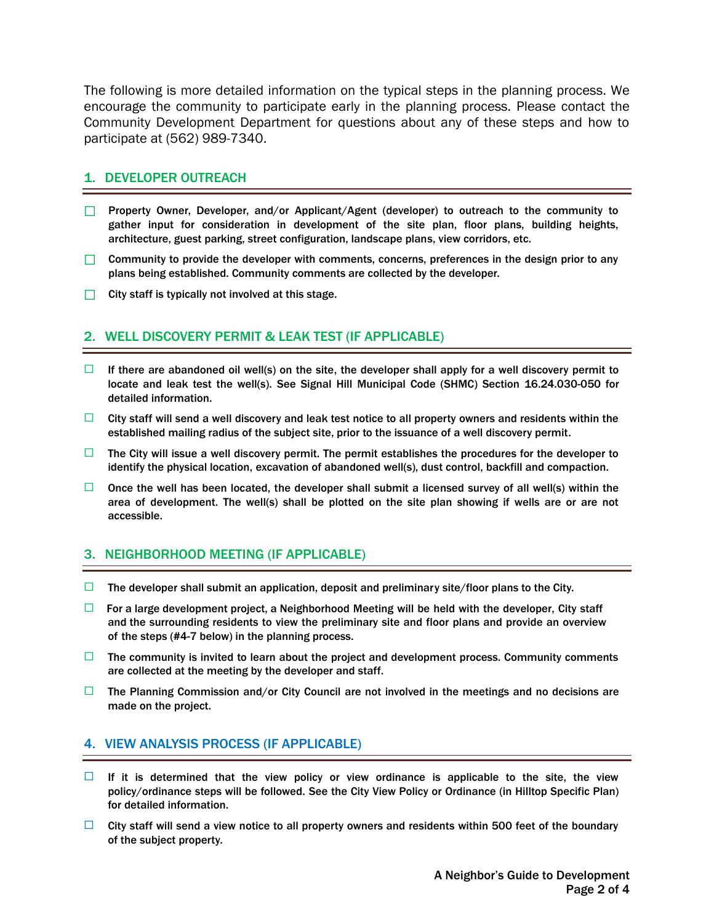<span id="page-1-0"></span>The following is more detailed information on the typical steps in the planning process. We encourage the community to participate early in the planning process. Please contact the Community Development Department for questions about any of these steps and how to participate at (562) 989-7340.

#### 1. DEVELOPER OUTREACH

- □ Property Owner, Developer, and/or Applicant/Agent (developer) to outreach to the community to gather input for consideration in development of the site plan, floor plans, building heights, architecture, guest parking, street configuration, landscape plans, view corridors, etc.
- $\Box$  Community to provide the developer with comments, concerns, preferences in the design prior to any plans being established. Community comments are collected by the developer.
- $\Box$  City staff is typically not involved at this stage.

# 2. WELL DISCOVERY PERMIT & LEAK TEST (IF APPLICABLE)

- $\Box$  If there are abandoned oil well(s) on the site, the developer shall apply for a well discovery permit to locate and leak test the well(s). See Signal Hill Municipal Code (SHMC) Section 16.24.030-050 for detailed information.
- $\Box$  City staff will send a well discovery and leak test notice to all property owners and residents within the established mailing radius of the subject site, prior to the issuance of a well discovery permit.
- $\Box$  The City will issue a well discovery permit. The permit establishes the procedures for the developer to identify the physical location, excavation of abandoned well(s), dust control, backfill and compaction.
- $\Box$  Once the well has been located, the developer shall submit a licensed survey of all well(s) within the area of development. The well(s) shall be plotted on the site plan showing if wells are or are not accessible.

# 3. NEIGHBORHOOD MEETING (IF APPLICABLE)

- $\Box$  The developer shall submit an application, deposit and preliminary site/floor plans to the City.
- $\Box$  For a large development project, a Neighborhood Meeting will be held with the developer, City staff and the surrounding residents to view the preliminary site and floor plans and provide an overview of the steps (#4-7 below) in the planning process.
- $\Box$  The community is invited to learn about the project and development process. Community comments are collected at the meeting by the developer and staff.
- $\Box$  The Planning Commission and/or City Council are not involved in the meetings and no decisions are made on the project.

#### 4. VIEW ANALYSIS PROCESS (IF APPLICABLE)

- $\Box$  If it is determined that the view policy or view ordinance is applicable to the site, the view policy/ordinance steps will be followed. See the City View Policy or Ordinance (in Hilltop Specific Plan) for detailed information.
- $\Box$  City staff will send a view notice to all property owners and residents within 500 feet of the boundary of the subject property.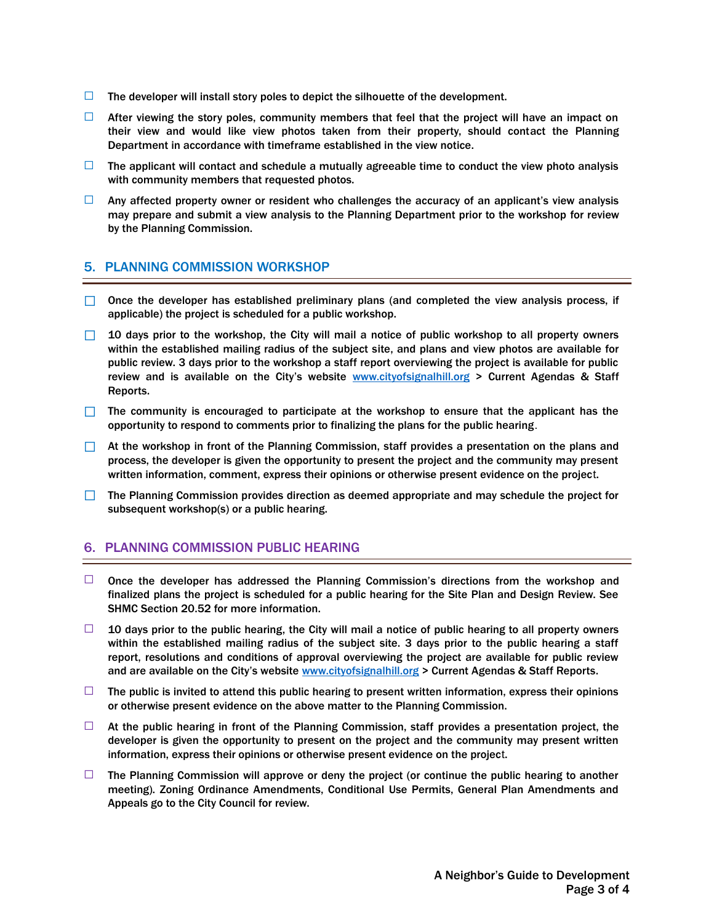- <span id="page-2-0"></span> $\Box$  The developer will install story poles to depict the silhouette of the development.
- $\Box$  After viewing the story poles, community members that feel that the project will have an impact on their view and would like view photos taken from their property, should contact the Planning Department in accordance with timeframe established in the view notice.
- $\Box$  The applicant will contact and schedule a mutually agreeable time to conduct the view photo analysis with community members that requested photos.
- $\Box$  Any affected property owner or resident who challenges the accuracy of an applicant's view analysis may prepare and submit a view analysis to the Planning Department prior to the workshop for review by the Planning Commission.

#### 5. PLANNING COMMISSION WORKSHOP

- □ Once the developer has established preliminary plans (and completed the view analysis process, if applicable) the project is scheduled for a public workshop.
- $\Box$  10 days prior to the workshop, the City will mail a notice of public workshop to all property owners within the established mailing radius of the subject site, and plans and view photos are available for public review. 3 days prior to the workshop a staff report overviewing the project is available for public review and is available on the City's website [www.cityofsignalhill.org](http://www.cityofsignalhill.org/) > Current Agendas & Staff Reports.
- $\Box$  The community is encouraged to participate at the workshop to ensure that the applicant has the opportunity to respond to comments prior to finalizing the plans for the public hearing.
- $\Box$  At the workshop in front of the Planning Commission, staff provides a presentation on the plans and process, the developer is given the opportunity to present the project and the community may present written information, comment, express their opinions or otherwise present evidence on the project.
- $\Box$  The Planning Commission provides direction as deemed appropriate and may schedule the project for subsequent workshop(s) or a public hearing.

## 6. PLANNING COMMISSION PUBLIC HEARING

- $\Box$  Once the developer has addressed the Planning Commission's directions from the workshop and finalized plans the project is scheduled for a public hearing for the Site Plan and Design Review. See SHMC Section 20.52 for more information.
- $\Box$  10 days prior to the public hearing, the City will mail a notice of public hearing to all property owners within the established mailing radius of the subject site. 3 days prior to the public hearing a staff report, resolutions and conditions of approval overviewing the project are available for public review and are available on the City's website [www.cityofsignalhill.org](http://www.cityofsignalhill.org/) > Current Agendas & Staff Reports.
- $\Box$  The public is invited to attend this public hearing to present written information, express their opinions or otherwise present evidence on the above matter to the Planning Commission.
- $\Box$  At the public hearing in front of the Planning Commission, staff provides a presentation project, the developer is given the opportunity to present on the project and the community may present written information, express their opinions or otherwise present evidence on the project.
- $\Box$  The Planning Commission will approve or deny the project (or continue the public hearing to another meeting). Zoning Ordinance Amendments, Conditional Use Permits, General Plan Amendments and Appeals go to the City Council for review.